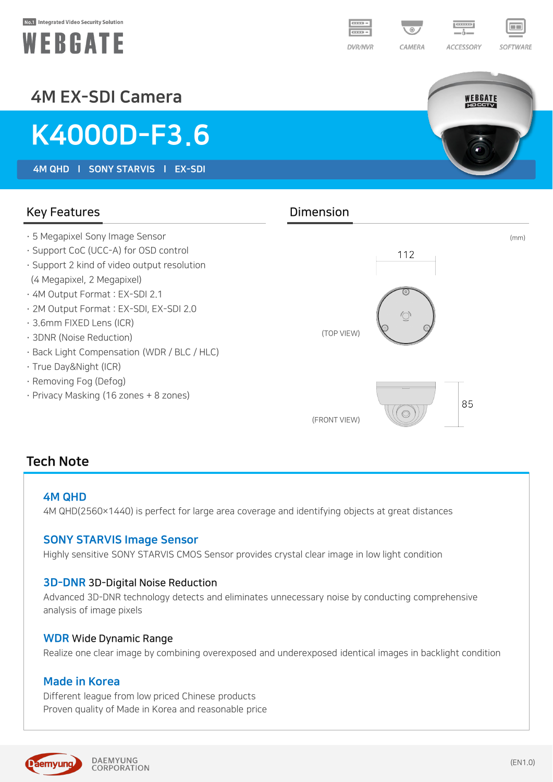#### No.1 Integrated Video Security Solution





WEBGATE

## 4M EX-SDI Camera

# K4000D-F3.6

4M QHD l SONY STARVIS l EX-SDI

Key Features **Dimension** · 5 Megapixel Sony Image Sensor (mm) · Support CoC (UCC-A) for OSD control 112 · Support 2 kind of video output resolution (4 Megapixel, 2 Megapixel) · 4M Output Format : EX-SDI 2.1 · 2M Output Format : EX-SDI, EX-SDI 2.0 · 3.6mm FIXED Lens (ICR) (TOP VIEW) · 3DNR (Noise Reduction) · Back Light Compensation (WDR / BLC / HLC) · True Day&Night (ICR) · Removing Fog (Defog) · Privacy Masking (16 zones + 8 zones) 85  $\bigcirc$ (FRONT VIEW)

### Tech Note

#### 4M QHD

4M QHD(2560×1440) is perfect for large area coverage and identifying objects at great distances

#### SONY STARVIS Image Sensor

Highly sensitive SONY STARVIS CMOS Sensor provides crystal clear image in low light condition

#### 3D-DNR 3D-Digital Noise Reduction

Advanced 3D-DNR technology detects and eliminates unnecessary noise by conducting comprehensive analysis of image pixels

#### WDR Wide Dynamic Range

Realize one clear image by combining overexposed and underexposed identical images in backlight condition

#### Made in Korea

Different league from low priced Chinese products Proven quality of Made in Korea and reasonable price